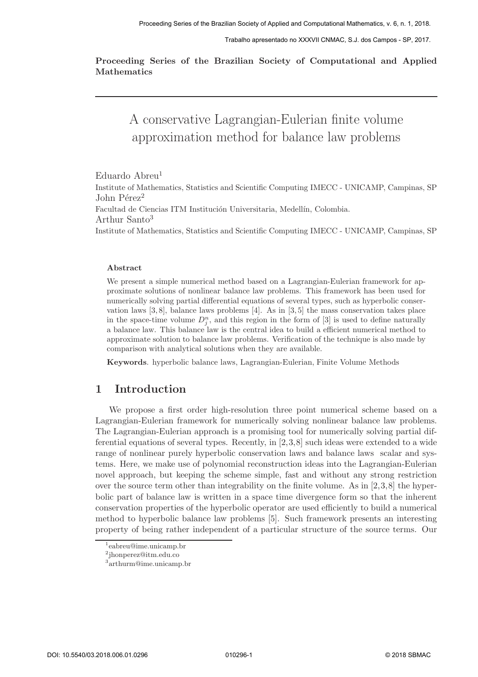Trabalho apresentado no XXXVII CNMAC, S.J. dos Campos - SP, 2017.

Proceeding Series of the Brazilian Society of Computational and Applied **Mathematics** 

# A conservative Lagrangian-Eulerian finite volume approximation method for balance law problems

Eduardo Abreu<sup>1</sup> Institute of Mathematics, Statistics and Scientific Computing IMECC - UNICAMP, Campinas, SP John Pérez<sup>2</sup> Facultad de Ciencias ITM Institución Universitaria, Medellín, Colombia. Arthur Santo<sup>3</sup> Institute of Mathematics, Statistics and Scientific Computing IMECC - UNICAMP, Campinas, SP

#### Abstract

We present a simple numerical method based on a Lagrangian-Eulerian framework for approximate solutions of nonlinear balance law problems. This framework has been used for numerically solving partial differential equations of several types, such as hyperbolic conservation laws [3, 8], balance laws problems [4]. As in [3, 5] the mass conservation takes place in the space-time volume  $D_j^n$ , and this region in the form of [3] is used to define naturally a balance law. This balance law is the central idea to build a efficient numerical method to approximate solution to balance law problems. Verification of the technique is also made by comparison with analytical solutions when they are available.

Keywords. hyperbolic balance laws, Lagrangian-Eulerian, Finite Volume Methods

#### 1 Introduction

We propose a first order high-resolution three point numerical scheme based on a Lagrangian-Eulerian framework for numerically solving nonlinear balance law problems. The Lagrangian-Eulerian approach is a promising tool for numerically solving partial differential equations of several types. Recently, in [2,3,8] such ideas were extended to a wide range of nonlinear purely hyperbolic conservation laws and balance laws scalar and systems. Here, we make use of polynomial reconstruction ideas into the Lagrangian-Eulerian novel approach, but keeping the scheme simple, fast and without any strong restriction over the source term other than integrability on the finite volume. As in [2,3,8] the hyperbolic part of balance law is written in a space time divergence form so that the inherent conservation properties of the hyperbolic operator are used efficiently to build a numerical method to hyperbolic balance law problems [5]. Such framework presents an interesting property of being rather independent of a particular structure of the source terms. Our

<sup>1</sup> eabreu@ime.unicamp.br

<sup>2</sup> jhonperez@itm.edu.co

<sup>3</sup> arthurm@ime.unicamp.br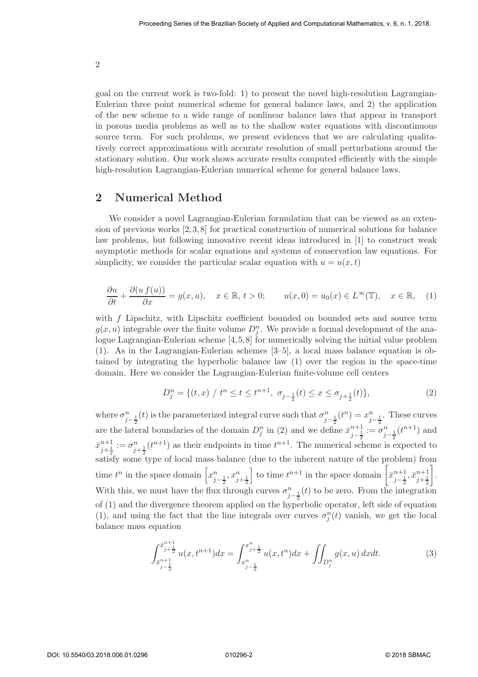goal on the current work is two-fold: 1) to present the novel high-resolution Lagrangian-Eulerian three point numerical scheme for general balance laws, and 2) the application of the new scheme to a wide range of nonlinear balance laws that appear in transport in porous media problems as well as to the shallow water equations with discontinuous source term. For such problems, we present evidences that we are calculating qualitatively correct approximations with accurate resolution of small perturbations around the stationary solution. Our work shows accurate results computed efficiently with the simple high-resolution Lagrangian-Eulerian numerical scheme for general balance laws.

## 2 Numerical Method

We consider a novel Lagrangian-Eulerian formulation that can be viewed as an extension of previous works  $[2,3,8]$  for practical construction of numerical solutions for balance law problems, but following innovative recent ideas introduced in [1] to construct weak asymptotic methods for scalar equations and systems of conservation law equations. For simplicity, we consider the particular scalar equation with  $u = u(x, t)$ 

$$
\frac{\partial u}{\partial t} + \frac{\partial (u f(u))}{\partial x} = g(x, u), \quad x \in \mathbb{R}, t > 0; \qquad u(x, 0) = u_0(x) \in L^{\infty}(\mathbb{T}), \quad x \in \mathbb{R}, \quad (1)
$$

with f Lipschitz, with Lipschitz coefficient bounded on bounded sets and source term  $g(x, u)$  integrable over the finite volume  $D_j^n$ . We provide a formal development of the analogue Lagrangian-Eulerian scheme [4,5,8] for numerically solving the initial value problem (1). As in the Lagrangian-Eulerian schemes [3–5], a local mass balance equation is obtained by integrating the hyperbolic balance law (1) over the region in the space-time domain. Here we consider the Lagrangian-Eulerian finite-volume cell centers

$$
D_j^n = \{(t, x) / t^n \le t \le t^{n+1}, \sigma_{j-\frac{1}{2}}(t) \le x \le \sigma_{j+\frac{1}{2}}(t)\},\tag{2}
$$

where  $\sigma_{j-\frac{1}{2}}^n(t)$  is the parameterized integral curve such that  $\sigma_{j-\frac{1}{2}}^n(t^n) = x_{j-\frac{1}{2}}^n$ . These curves are the lateral boundaries of the domain  $D_j^n$  in (2) and we define  $\bar{x}_{j-\frac{1}{2}}^{n+1} := \sigma_{j-\frac{1}{2}}^n(t^{n+1})$  and  $\bar{x}_{j+\frac{1}{2}}^{n+1} := \sigma_{j+\frac{1}{2}}^n(t^{n+1})$  as their endpoints in time  $t^{n+1}$ . The numerical scheme is expected to  $\frac{1}{2}$   $\frac{1}{2}$   $\frac{1}{2}$  satisfy some type of local mass balance (due to the inherent nature of the problem) from time  $t^n$  in the space domain  $\left[x_{j-\frac{1}{2}}^n, x_{j+\frac{1}{2}}^n\right]$ ord time  $t^{n+1}$  in the space domain  $\left[\bar{x}_{j-\frac{1}{2}}^{n+1}, \bar{x}_{j+\frac{1}{2}}^{n+1}\right]$  . With this, we must have the flux through curves  $\sigma_{j-\frac{1}{2}}^n(t)$  to be zero. From the integration of (1) and the divergence theorem applied on the hyperbolic operator, left side of equation (1), and using the fact that the line integrals over curves  $\sigma_j^n(t)$  vanish, we get the local balance mass equation

$$
\int_{\bar{x}_{j-\frac{1}{2}}}^{\bar{x}_{j+\frac{1}{2}}} u(x, t^{n+1}) dx = \int_{x_{j-\frac{1}{2}}}^{x_{j+\frac{1}{2}}} u(x, t^n) dx + \iint_{D_j^n} g(x, u) dx dt.
$$
 (3)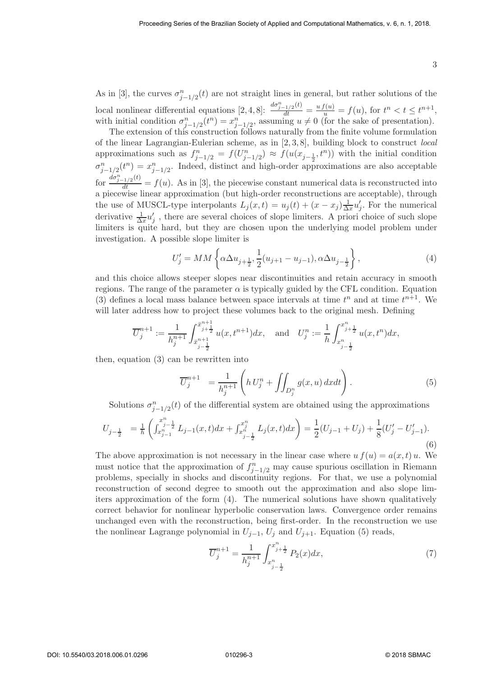As in [3], the curves  $\sigma_{j-1/2}^n(t)$  are not straight lines in general, but rather solutions of the local nonlinear differential equations  $[2, 4, 8]$ :  $\frac{d\sigma_{j-1/2}^n(t)}{dt} = \frac{uf(u)}{u} = f(u)$ , for  $t^n < t \leq t^{n+1}$ , with initial condition  $\sigma_{j-1/2}^n(t^n) = x_{j-1/2}^n$ , assuming  $u \neq 0$  (for the sake of presentation).

The extension of this construction follows naturally from the finite volume formulation of the linear Lagrangian-Eulerian scheme, as in [2, 3, 8], building block to construct local approximations such as  $f_{j-1/2}^n = f(U_{j-1/2}^n) \approx f(u(x_{j-\frac{1}{2}}, t^n))$  with the initial condition  $\sigma_{j-1/2}^n(t^n) = x_{j-1/2}^n$ . Indeed, distinct and high-order approximations are also acceptable for  $\frac{d\sigma_{j-1/2}^n(t)}{dt} = f(u)$ . As in [3], the piecewise constant numerical data is reconstructed into a piecewise linear approximation (but high-order reconstructions are acceptable), through the use of MUSCL-type interpolants  $L_j(x,t) = u_j(t) + (x - x_j) \frac{1}{\Delta t}$  $\frac{1}{\Delta x} u'_j$  $'_{j}$ . For the numerical derivative  $\frac{1}{\Delta x} u'_j$  $'_{j}$ , there are several choices of slope limiters. A priori choice of such slope limiters is quite hard, but they are chosen upon the underlying model problem under investigation. A possible slope limiter is

$$
U'_{j} = MM \left\{ \alpha \Delta u_{j + \frac{1}{2}}, \frac{1}{2} (u_{j+1} - u_{j-1}), \alpha \Delta u_{j - \frac{1}{2}} \right\},
$$
\n(4)

and this choice allows steeper slopes near discontinuities and retain accuracy in smooth regions. The range of the parameter  $\alpha$  is typically guided by the CFL condition. Equation (3) defines a local mass balance between space intervals at time  $t^n$  and at time  $t^{n+1}$ . We will later address how to project these volumes back to the original mesh. Defining

$$
\overline{U}_j^{n+1} := \frac{1}{h_j^{n+1}} \int_{\bar{x}_{j-\frac{1}{2}}}^{\bar{x}_{j+\frac{1}{2}}} u(x, t^{n+1}) dx, \text{ and } U_j^n := \frac{1}{h} \int_{x_{j-\frac{1}{2}}}^{x_{j+\frac{1}{2}}} u(x, t^n) dx,
$$

then, equation (3) can be rewritten into

$$
\overline{U}_j^{n+1} = \frac{1}{h_j^{n+1}} \left( h U_j^n + \iint_{D_j^n} g(x, u) \, dxdt \right). \tag{5}
$$

Solutions  $\sigma_{j-1/2}^n(t)$  of the differential system are obtained using the approximations

$$
U_{j-\frac{1}{2}} = \frac{1}{h} \left( \int_{x_{j-1}^{n-1}}^{x_{j-\frac{1}{2}}} L_{j-1}(x,t) dx + \int_{x_{j-\frac{1}{2}}}^{x_{j}^{n}} L_{j}(x,t) dx \right) = \frac{1}{2} (U_{j-1} + U_{j}) + \frac{1}{8} (U'_{j} - U'_{j-1}).
$$
\n(6)

The above approximation is not necessary in the linear case where  $u f(u) = a(x, t) u$ . We must notice that the approximation of  $f_{j-1/2}^n$  may cause spurious oscillation in Riemann problems, specially in shocks and discontinuity regions. For that, we use a polynomial reconstruction of second degree to smooth out the approximation and also slope limiters approximation of the form (4). The numerical solutions have shown qualitatively correct behavior for nonlinear hyperbolic conservation laws. Convergence order remains unchanged even with the reconstruction, being first-order. In the reconstruction we use the nonlinear Lagrange polynomial in  $U_{j-1}$ ,  $U_j$  and  $U_{j+1}$ . Equation (5) reads,

$$
\overline{U}_j^{n+1} = \frac{1}{h_j^{n+1}} \int_{x_{j-\frac{1}{2}}}^{x_{j+\frac{1}{2}}} P_2(x) dx, \tag{7}
$$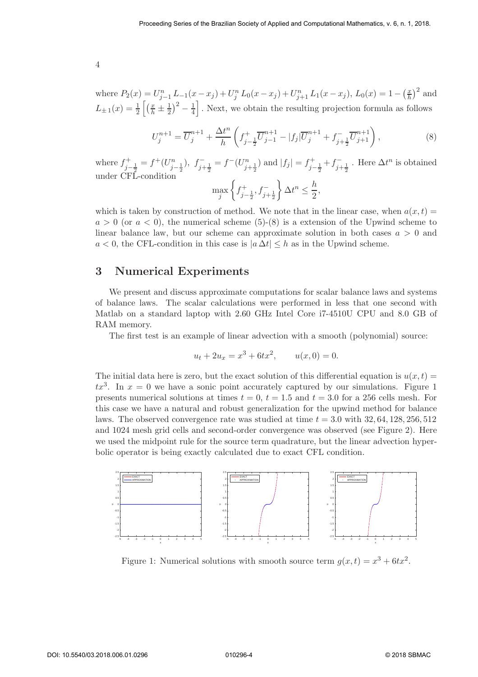where  $P_2(x) = U_{j-1}^n L_{-1}(x - x_j) + U_j^n L_0(x - x_j) + U_{j+1}^n L_1(x - x_j)$ ,  $L_0(x) = 1 - (\frac{x}{h})$  $(\frac{x}{h})^2$  and  $L_{\pm 1}(x) = \frac{1}{2} \left[ \left( \frac{x}{h} \pm \frac{1}{2} \right) \right]$  $(\frac{1}{2})^2 - \frac{1}{4}$  $\frac{1}{4}$ . Next, we obtain the resulting projection formula as follows

$$
U_j^{n+1} = \overline{U}_j^{n+1} + \frac{\Delta t^n}{h} \left( f_{j-\frac{1}{2}}^+ \overline{U}_{j-1}^{n+1} - |f_j| \overline{U}_j^{n+1} + f_{j+\frac{1}{2}}^- \overline{U}_{j+1}^{n+1} \right),\tag{8}
$$

where  $f_{j-\frac{1}{2}}^+ = f^+(U_{j-\frac{1}{2}}^n)$ ,  $f_{j+\frac{1}{2}}^- = f^-(U_{j+\frac{1}{2}}^n)$  and  $|f_j| = f_{j-\frac{1}{2}}^+ + f_{j+\frac{1}{2}}^ \sum_{j+\frac{1}{2}}^{n}$ . Here  $\Delta t^n$  is obtained under CFL-condition

$$
\max_{j} \left\{ f_{j-\frac{1}{2}}^{+}, f_{j+\frac{1}{2}}^{-} \right\} \Delta t^{n} \le \frac{h}{2},
$$

which is taken by construction of method. We note that in the linear case, when  $a(x, t)$  $a > 0$  (or  $a < 0$ ), the numerical scheme (5)-(8) is a extension of the Upwind scheme to linear balance law, but our scheme can approximate solution in both cases  $a > 0$  and  $a < 0$ , the CFL-condition in this case is  $|a \Delta t| \leq h$  as in the Upwind scheme.

### 3 Numerical Experiments

We present and discuss approximate computations for scalar balance laws and systems of balance laws. The scalar calculations were performed in less that one second with Matlab on a standard laptop with 2.60 GHz Intel Core i7-4510U CPU and 8.0 GB of RAM memory.

The first test is an example of linear advection with a smooth (polynomial) source:

$$
u_t + 2u_x = x^3 + 6tx^2, \qquad u(x,0) = 0.
$$

The initial data here is zero, but the exact solution of this differential equation is  $u(x, t) =$  $tx^3$ . In  $x = 0$  we have a sonic point accurately captured by our simulations. Figure 1 presents numerical solutions at times  $t = 0, t = 1.5$  and  $t = 3.0$  for a 256 cells mesh. For this case we have a natural and robust generalization for the upwind method for balance laws. The observed convergence rate was studied at time  $t = 3.0$  with  $32, 64, 128, 256, 512$ and 1024 mesh grid cells and second-order convergence was observed (see Figure 2). Here we used the midpoint rule for the source term quadrature, but the linear advection hyperbolic operator is being exactly calculated due to exact CFL condition.



Figure 1: Numerical solutions with smooth source term  $g(x,t) = x^3 + 6tx^2$ .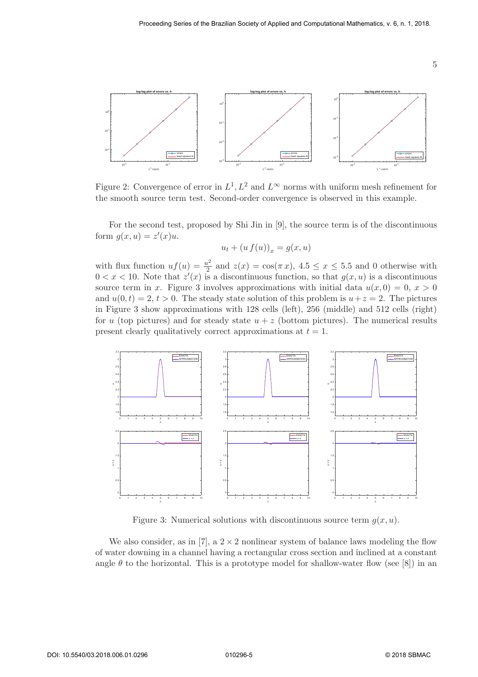

Figure 2: Convergence of error in  $L^1, L^2$  and  $L^{\infty}$  norms with uniform mesh refinement for the smooth source term test. Second-order convergence is observed in this example.

For the second test, proposed by Shi Jin in [9], the source term is of the discontinuous form  $g(x, u) = z'(x)u$ .

$$
u_t + (u f(u))_x = g(x, u)
$$

with flux function  $uf(u) = \frac{u^2}{2}$  $\frac{u^2}{2}$  and  $z(x) = \cos(\pi x), 4.5 \le x \le 5.5$  and 0 otherwise with  $0 < x < 10$ . Note that  $z'(x)$  is a discontinuous function, so that  $g(x, u)$  is a discontinuous source term in x. Figure 3 involves approximations with initial data  $u(x, 0) = 0, x > 0$ and  $u(0, t) = 2, t > 0$ . The steady state solution of this problem is  $u + z = 2$ . The pictures in Figure 3 show approximations with 128 cells (left), 256 (middle) and 512 cells (right) for u (top pictures) and for steady state  $u + z$  (bottom pictures). The numerical results present clearly qualitatively correct approximations at  $t = 1$ .



Figure 3: Numerical solutions with discontinuous source term  $g(x, u)$ .

We also consider, as in [7], a  $2 \times 2$  nonlinear system of balance laws modeling the flow of water downing in a channel having a rectangular cross section and inclined at a constant angle  $\theta$  to the horizontal. This is a prototype model for shallow-water flow (see [8]) in an

5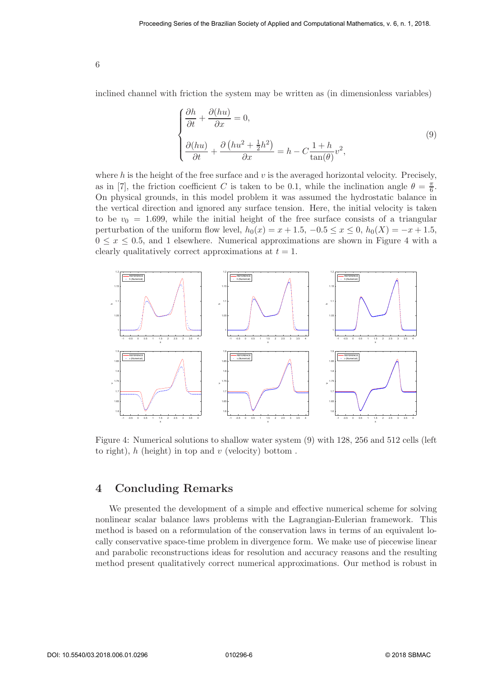inclined channel with friction the system may be written as (in dimensionless variables)

$$
\begin{cases} \frac{\partial h}{\partial t} + \frac{\partial (hu)}{\partial x} = 0, \\ \frac{\partial (hu)}{\partial t} + \frac{\partial (hu^2 + \frac{1}{2}h^2)}{\partial x} = h - C \frac{1+h}{\tan(\theta)} v^2, \end{cases}
$$
(9)

where h is the height of the free surface and  $v$  is the averaged horizontal velocity. Precisely, as in [7], the friction coefficient C is taken to be 0.1, while the inclination angle  $\theta = \frac{\pi}{6}$ . On physical grounds, in this model problem it was assumed the hydrostatic balance in the vertical direction and ignored any surface tension. Here, the initial velocity is taken to be  $v_0 = 1.699$ , while the initial height of the free surface consists of a triangular perturbation of the uniform flow level,  $h_0(x) = x + 1.5, -0.5 \le x \le 0, h_0(X) = -x + 1.5,$  $0 \le x \le 0.5$ , and 1 elsewhere. Numerical approximations are shown in Figure 4 with a clearly qualitatively correct approximations at  $t = 1$ .



Figure 4: Numerical solutions to shallow water system (9) with 128, 256 and 512 cells (left to right),  $h$  (height) in top and  $v$  (velocity) bottom.

### 4 Concluding Remarks

We presented the development of a simple and effective numerical scheme for solving nonlinear scalar balance laws problems with the Lagrangian-Eulerian framework. This method is based on a reformulation of the conservation laws in terms of an equivalent locally conservative space-time problem in divergence form. We make use of piecewise linear and parabolic reconstructions ideas for resolution and accuracy reasons and the resulting method present qualitatively correct numerical approximations. Our method is robust in